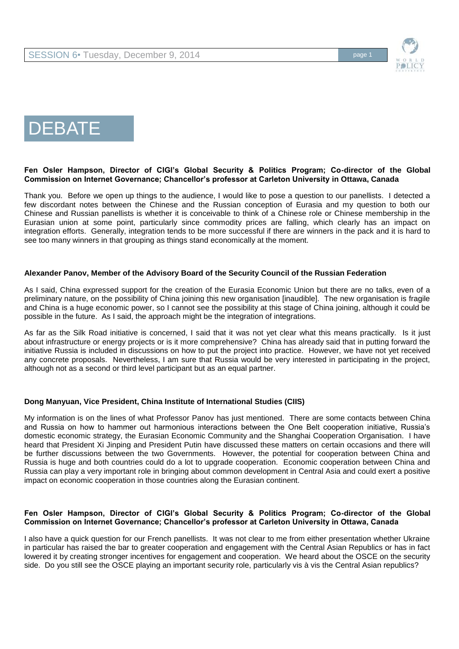



# DEBATE

#### **Fen Osler Hampson, Director of CIGI's Global Security & Politics Program; Co-director of the Global Commission on Internet Governance; Chancellor's professor at Carleton University in Ottawa, Canada**

Thank you. Before we open up things to the audience, I would like to pose a question to our panellists. I detected a few discordant notes between the Chinese and the Russian conception of Eurasia and my question to both our Chinese and Russian panellists is whether it is conceivable to think of a Chinese role or Chinese membership in the Eurasian union at some point, particularly since commodity prices are falling, which clearly has an impact on integration efforts. Generally, integration tends to be more successful if there are winners in the pack and it is hard to see too many winners in that grouping as things stand economically at the moment.

## **Alexander Panov, Member of the Advisory Board of the Security Council of the Russian Federation**

As I said, China expressed support for the creation of the Eurasia Economic Union but there are no talks, even of a preliminary nature, on the possibility of China joining this new organisation [inaudible]. The new organisation is fragile and China is a huge economic power, so I cannot see the possibility at this stage of China joining, although it could be possible in the future. As I said, the approach might be the integration of integrations.

As far as the Silk Road initiative is concerned, I said that it was not yet clear what this means practically. Is it just about infrastructure or energy projects or is it more comprehensive? China has already said that in putting forward the initiative Russia is included in discussions on how to put the project into practice. However, we have not yet received any concrete proposals. Nevertheless, I am sure that Russia would be very interested in participating in the project, although not as a second or third level participant but as an equal partner.

# **Dong Manyuan, Vice President, China Institute of International Studies (CIIS)**

My information is on the lines of what Professor Panov has just mentioned. There are some contacts between China and Russia on how to hammer out harmonious interactions between the One Belt cooperation initiative, Russia's domestic economic strategy, the Eurasian Economic Community and the Shanghai Cooperation Organisation. I have heard that President Xi Jinping and President Putin have discussed these matters on certain occasions and there will be further discussions between the two Governments. However, the potential for cooperation between China and Russia is huge and both countries could do a lot to upgrade cooperation. Economic cooperation between China and Russia can play a very important role in bringing about common development in Central Asia and could exert a positive impact on economic cooperation in those countries along the Eurasian continent.

#### **Fen Osler Hampson, Director of CIGI's Global Security & Politics Program; Co-director of the Global Commission on Internet Governance; Chancellor's professor at Carleton University in Ottawa, Canada**

I also have a quick question for our French panellists. It was not clear to me from either presentation whether Ukraine in particular has raised the bar to greater cooperation and engagement with the Central Asian Republics or has in fact lowered it by creating stronger incentives for engagement and cooperation. We heard about the OSCE on the security side. Do you still see the OSCE playing an important security role, particularly vis à vis the Central Asian republics?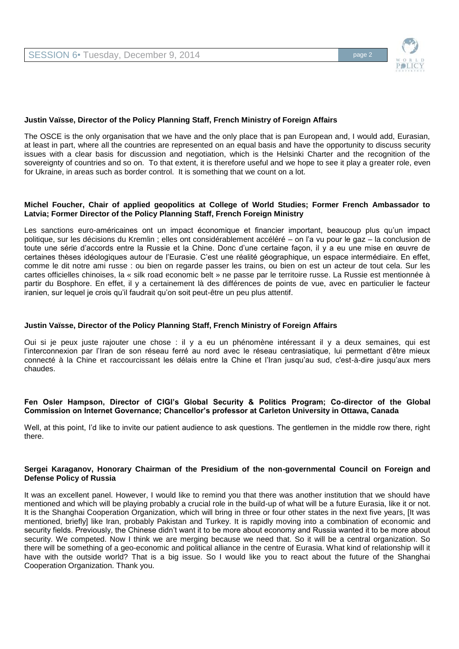

## **Justin Vaïsse, Director of the Policy Planning Staff, French Ministry of Foreign Affairs**

The OSCE is the only organisation that we have and the only place that is pan European and, I would add, Eurasian, at least in part, where all the countries are represented on an equal basis and have the opportunity to discuss security issues with a clear basis for discussion and negotiation, which is the Helsinki Charter and the recognition of the sovereignty of countries and so on. To that extent, it is therefore useful and we hope to see it play a greater role, even for Ukraine, in areas such as border control. It is something that we count on a lot.

#### **Michel Foucher, Chair of applied geopolitics at College of World Studies; Former French Ambassador to Latvia; Former Director of the Policy Planning Staff, French Foreign Ministry**

Les sanctions euro-américaines ont un impact économique et financier important, beaucoup plus qu'un impact politique, sur les décisions du Kremlin ; elles ont considérablement accéléré – on l'a vu pour le gaz – la conclusion de toute une série d'accords entre la Russie et la Chine. Donc d'une certaine façon, il y a eu une mise en œuvre de certaines thèses idéologiques autour de l'Eurasie. C'est une réalité géographique, un espace intermédiaire. En effet, comme le dit notre ami russe : ou bien on regarde passer les trains, ou bien on est un acteur de tout cela. Sur les cartes officielles chinoises, la « silk road economic belt » ne passe par le territoire russe. La Russie est mentionnée à partir du Bosphore. En effet, il y a certainement là des différences de points de vue, avec en particulier le facteur iranien, sur lequel je crois qu'il faudrait qu'on soit peut-être un peu plus attentif.

#### **Justin Vaïsse, Director of the Policy Planning Staff, French Ministry of Foreign Affairs**

Oui si je peux juste rajouter une chose : il y a eu un phénomène intéressant il y a deux semaines, qui est l'interconnexion par l'Iran de son réseau ferré au nord avec le réseau centrasiatique, lui permettant d'être mieux connecté à la Chine et raccourcissant les délais entre la Chine et l'Iran jusqu'au sud, c'est-à-dire jusqu'aux mers chaudes.

#### **Fen Osler Hampson, Director of CIGI's Global Security & Politics Program; Co-director of the Global Commission on Internet Governance; Chancellor's professor at Carleton University in Ottawa, Canada**

Well, at this point, I'd like to invite our patient audience to ask questions. The gentlemen in the middle row there, right there.

#### **Sergei Karaganov, Honorary Chairman of the Presidium of the non-governmental Council on Foreign and Defense Policy of Russia**

It was an excellent panel. However, I would like to remind you that there was another institution that we should have mentioned and which will be playing probably a crucial role in the build-up of what will be a future Eurasia, like it or not. It is the Shanghai Cooperation Organization, which will bring in three or four other states in the next five years, [It was mentioned, briefly] like Iran, probably Pakistan and Turkey. It is rapidly moving into a combination of economic and security fields. Previously, the Chinese didn't want it to be more about economy and Russia wanted it to be more about security. We competed. Now I think we are merging because we need that. So it will be a central organization. So there will be something of a geo-economic and political alliance in the centre of Eurasia. What kind of relationship will it have with the outside world? That is a big issue. So I would like you to react about the future of the Shanghai Cooperation Organization. Thank you.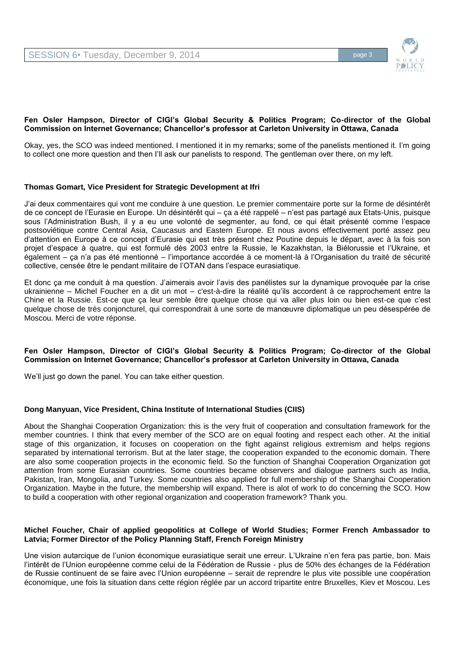

## **Fen Osler Hampson, Director of CIGI's Global Security & Politics Program; Co-director of the Global Commission on Internet Governance; Chancellor's professor at Carleton University in Ottawa, Canada**

Okay, yes, the SCO was indeed mentioned. I mentioned it in my remarks; some of the panelists mentioned it. I'm going to collect one more question and then I'll ask our panelists to respond. The gentleman over there, on my left.

## **Thomas Gomart, Vice President for Strategic Development at Ifri**

J'ai deux commentaires qui vont me conduire à une question. Le premier commentaire porte sur la forme de désintérêt de ce concept de l'Eurasie en Europe. Un désintérêt qui – ça a été rappelé – n'est pas partagé aux Etats-Unis, puisque sous l'Administration Bush, il y a eu une volonté de segmenter, au fond, ce qui était présenté comme l'espace postsoviétique contre Central Asia, Caucasus and Eastern Europe. Et nous avons effectivement porté assez peu d'attention en Europe à ce concept d'Eurasie qui est très présent chez Poutine depuis le départ, avec à la fois son projet d'espace à quatre, qui est formulé dès 2003 entre la Russie, le Kazakhstan, la Biélorussie et l'Ukraine, et également – ça n'a pas été mentionné – l'importance accordée à ce moment-là à l'Organisation du traité de sécurité collective, censée être le pendant militaire de l'OTAN dans l'espace eurasiatique.

Et donc ça me conduit à ma question. J'aimerais avoir l'avis des panélistes sur la dynamique provoquée par la crise ukrainienne – Michel Foucher en a dit un mot – c'est-à-dire la réalité qu'ils accordent à ce rapprochement entre la Chine et la Russie. Est-ce que ça leur semble être quelque chose qui va aller plus loin ou bien est-ce que c'est quelque chose de très conjoncturel, qui correspondrait à une sorte de manœuvre diplomatique un peu désespérée de Moscou. Merci de votre réponse.

## **Fen Osler Hampson, Director of CIGI's Global Security & Politics Program; Co-director of the Global Commission on Internet Governance; Chancellor's professor at Carleton University in Ottawa, Canada**

We'll just go down the panel. You can take either question.

# **Dong Manyuan, Vice President, China Institute of International Studies (CIIS)**

About the Shanghai Cooperation Organization: this is the very fruit of cooperation and consultation framework for the member countries. I think that every member of the SCO are on equal footing and respect each other. At the initial stage of this organization, it focuses on cooperation on the fight against religious extremism and helps regions separated by international terrorism. But at the later stage, the cooperation expanded to the economic domain. There are also some cooperation projects in the economic field. So the function of Shanghai Cooperation Organization got attention from some Eurasian countries. Some countries became observers and dialogue partners such as India, Pakistan, Iran, Mongolia, and Turkey. Some countries also applied for full membership of the Shanghai Cooperation Organization. Maybe in the future, the membership will expand. There is alot of work to do concerning the SCO. How to build a cooperation with other regional organization and cooperation framework? Thank you.

#### **Michel Foucher, Chair of applied geopolitics at College of World Studies; Former French Ambassador to Latvia; Former Director of the Policy Planning Staff, French Foreign Ministry**

Une vision autarcique de l'union économique eurasiatique serait une erreur. L'Ukraine n'en fera pas partie, bon. Mais l'intérêt de l'Union européenne comme celui de la Fédération de Russie - plus de 50% des échanges de la Fédération de Russie continuent de se faire avec l'Union européenne – serait de reprendre le plus vite possible une coopération économique, une fois la situation dans cette région réglée par un accord tripartite entre Bruxelles, Kiev et Moscou. Les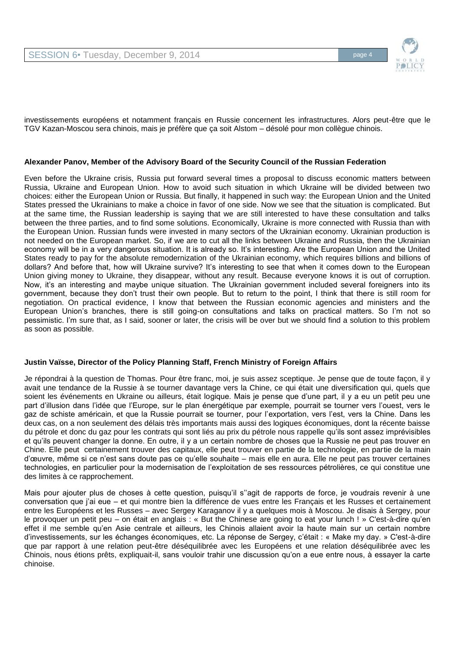

investissements européens et notamment français en Russie concernent les infrastructures. Alors peut-être que le TGV Kazan-Moscou sera chinois, mais je préfère que ça soit Alstom – désolé pour mon collègue chinois.

## **Alexander Panov, Member of the Advisory Board of the Security Council of the Russian Federation**

Even before the Ukraine crisis, Russia put forward several times a proposal to discuss economic matters between Russia, Ukraine and European Union. How to avoid such situation in which Ukraine will be divided between two choices: either the European Union or Russia. But finally, it happened in such way: the European Union and the United States pressed the Ukrainians to make a choice in favor of one side. Now we see that the situation is complicated. But at the same time, the Russian leadership is saying that we are still interested to have these consultation and talks between the three parties, and to find some solutions. Economically, Ukraine is more connected with Russia than with the European Union. Russian funds were invested in many sectors of the Ukrainian economy. Ukrainian production is not needed on the European market. So, if we are to cut all the links between Ukraine and Russia, then the Ukrainian economy will be in a very dangerous situation. It is already so. It's interesting. Are the European Union and the United States ready to pay for the absolute remodernization of the Ukrainian economy, which requires billions and billions of dollars? And before that, how will Ukraine survive? It's interesting to see that when it comes down to the European Union giving money to Ukraine, they disappear, without any result. Because everyone knows it is out of corruption. Now, it's an interesting and maybe unique situation. The Ukrainian government included several foreigners into its government, because they don't trust their own people. But to return to the point, I think that there is still room for negotiation. On practical evidence, I know that between the Russian economic agencies and ministers and the European Union's branches, there is still going-on consultations and talks on practical matters. So I'm not so pessimistic. I'm sure that, as I said, sooner or later, the crisis will be over but we should find a solution to this problem as soon as possible.

# **Justin Vaïsse, Director of the Policy Planning Staff, French Ministry of Foreign Affairs**

Je répondrai à la question de Thomas. Pour être franc, moi, je suis assez sceptique. Je pense que de toute façon, il y avait une tendance de la Russie à se tourner davantage vers la Chine, ce qui était une diversification qui, quels que soient les événements en Ukraine ou ailleurs, était logique. Mais je pense que d'une part, il y a eu un petit peu une part d'illusion dans l'idée que l'Europe, sur le plan énergétique par exemple, pourrait se tourner vers l'ouest, vers le gaz de schiste américain, et que la Russie pourrait se tourner, pour l'exportation, vers l'est, vers la Chine. Dans les deux cas, on a non seulement des délais très importants mais aussi des logiques économiques, dont la récente baisse du pétrole et donc du gaz pour les contrats qui sont liés au prix du pétrole nous rappelle qu'ils sont assez imprévisibles et qu'ils peuvent changer la donne. En outre, il y a un certain nombre de choses que la Russie ne peut pas trouver en Chine. Elle peut certainement trouver des capitaux, elle peut trouver en partie de la technologie, en partie de la main d'œuvre, même si ce n'est sans doute pas ce qu'elle souhaite – mais elle en aura. Elle ne peut pas trouver certaines technologies, en particulier pour la modernisation de l'exploitation de ses ressources pétrolières, ce qui constitue une des limites à ce rapprochement.

Mais pour ajouter plus de choses à cette question, puisqu'il s''agit de rapports de force, je voudrais revenir à une conversation que j'ai eue – et qui montre bien la différence de vues entre les Français et les Russes et certainement entre les Européens et les Russes – avec Sergey Karaganov il y a quelques mois à Moscou. Je disais à Sergey, pour le provoquer un petit peu – on était en anglais : « But the Chinese are going to eat your lunch ! » C'est-à-dire qu'en effet il me semble qu'en Asie centrale et ailleurs, les Chinois allaient avoir la haute main sur un certain nombre d'investissements, sur les échanges économiques, etc. La réponse de Sergey, c'était : « Make my day. » C'est-à-dire que par rapport à une relation peut-être déséquilibrée avec les Européens et une relation déséquilibrée avec les Chinois, nous étions prêts, expliquait-il, sans vouloir trahir une discussion qu'on a eue entre nous, à essayer la carte chinoise.